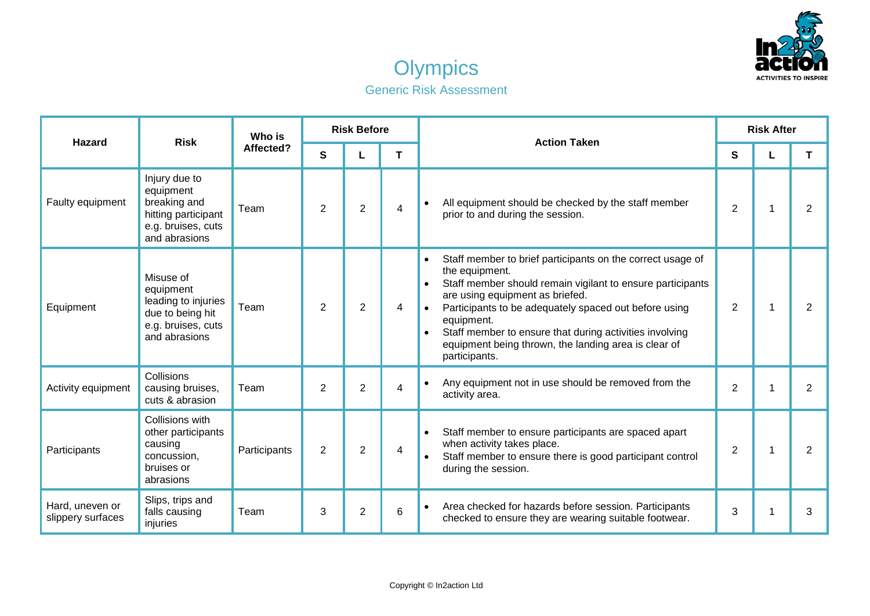



| <b>Hazard</b>                        | <b>Risk</b>                                                                                              | Who is<br>Affected? | <b>Risk Before</b> |                |   | <b>Action Taken</b>                                                                                                                                                                                                                                                                                                                                                                                                | <b>Risk After</b> |  |                |
|--------------------------------------|----------------------------------------------------------------------------------------------------------|---------------------|--------------------|----------------|---|--------------------------------------------------------------------------------------------------------------------------------------------------------------------------------------------------------------------------------------------------------------------------------------------------------------------------------------------------------------------------------------------------------------------|-------------------|--|----------------|
|                                      |                                                                                                          |                     | S                  |                | T |                                                                                                                                                                                                                                                                                                                                                                                                                    | S                 |  | T              |
| Faulty equipment                     | Injury due to<br>equipment<br>breaking and<br>hitting participant<br>e.g. bruises, cuts<br>and abrasions | Team                | $\overline{2}$     | $\overline{2}$ | 4 | All equipment should be checked by the staff member<br>$\bullet$<br>prior to and during the session.                                                                                                                                                                                                                                                                                                               | $\overline{2}$    |  | $\overline{2}$ |
| Equipment                            | Misuse of<br>equipment<br>leading to injuries<br>due to being hit<br>e.g. bruises, cuts<br>and abrasions | Team                | 2                  | $\overline{2}$ | 4 | Staff member to brief participants on the correct usage of<br>$\bullet$<br>the equipment.<br>Staff member should remain vigilant to ensure participants<br>$\bullet$<br>are using equipment as briefed.<br>Participants to be adequately spaced out before using<br>equipment.<br>Staff member to ensure that during activities involving<br>equipment being thrown, the landing area is clear of<br>participants. | $\overline{2}$    |  | $\overline{2}$ |
| Activity equipment                   | Collisions<br>causing bruises,<br>cuts & abrasion                                                        | Team                | $\overline{2}$     | $\overline{2}$ | 4 | Any equipment not in use should be removed from the<br>$\bullet$<br>activity area.                                                                                                                                                                                                                                                                                                                                 | $\overline{2}$    |  | $\overline{2}$ |
| Participants                         | Collisions with<br>other participants<br>causing<br>concussion,<br>bruises or<br>abrasions               | Participants        | 2                  | $\overline{2}$ | 4 | Staff member to ensure participants are spaced apart<br>$\bullet$<br>when activity takes place.<br>Staff member to ensure there is good participant control<br>during the session.                                                                                                                                                                                                                                 | $\overline{2}$    |  | 2              |
| Hard, uneven or<br>slippery surfaces | Slips, trips and<br>falls causing<br>injuries                                                            | Team                | 3                  | $\overline{2}$ | 6 | Area checked for hazards before session. Participants<br>$\bullet$<br>checked to ensure they are wearing suitable footwear.                                                                                                                                                                                                                                                                                        | 3                 |  | 3              |